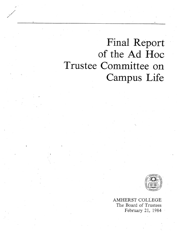# Final Report of the Ad Hoc Trustee Committee on Campus Life

**//** 



AMHERST COLLEGE The Board of Trustees February 21, 1984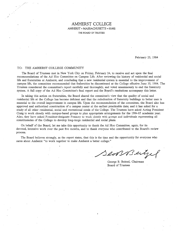# AMHERST COLLEGE AMHERST . MASSACHUSETTS • 01002 THE BOARD OF TRUSTEES

February 25, 1984

#### TO: THE AMHERST COLLEGE COMMUNITY

The Board of Trustees met in New York City on Friday, February 24, to receive and act upon the final recommendations of the Ad Hoc Committee on Campus Life. After reviewing the history of residential and social life and fraternities at Amherst, and concluding that <sup>a</sup> new residential system is essential to the improvement of campus life, the committee recommended that fraternities be discontinued at the College effective June 30, 1984. The Trustees considered the committee's report carefully and thoroughly, and voted unanimously to end the fraternity system. A full copy of the Ad Hoc Committee's final report and the Board's resolutions accompany this letter.

In taking this action on fraternities, the Board shared the committee's view that the quality of social and residential life at the College has become deficient and that the rededication of fraternity buildings to better uses is essential to the overall improvement in campus life. Upon the recommendation of the committee, the Board also has approved and authorized construction of <sup>a</sup> campus center at the earliest practicable date; and it has asked for <sup>a</sup> study of all other residential, social and recreational needs of the College. The Trustees have asked Acting President Craig to work closely with campus-based groups to plan appropriate arrangements for the 1984-85 academic year. Also, they have asked President-designate Pouncey to work closely with groups and individuals representing all constituencies of the College to develop long-range residential and social plans.

On behalf of the Board, let me take this opportunity to thank the Ad Hoc Committee, again, for its devoted, intensive work over the past five months, and to thank everyone who contributed to the Board's review process.

The Board believes strongly, as the report states, that this is the time and the opportunity for everyone who cares about Amherst "to work together to make Amherst <sup>a</sup> better college."

ensseigel

George B. Beitzel, Chairman Board of Trustees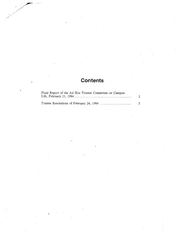# **Contents**

| Final Report of the Ad Hoc Trustee Committee on Campus |                |
|--------------------------------------------------------|----------------|
|                                                        | $\mathbf{2}$   |
|                                                        |                |
| Trustee Resolutions of February 24, 1984               | 5 <sup>1</sup> |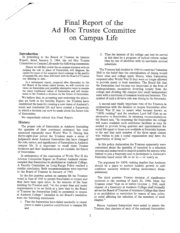# Final Report of the Ad Hoc Trustee Committee on Campus Life

#### Introduction

In presenting to the Board of Trustees its Interim Report, dated January 9, 1984, the Ad Hoc Trustee Committee on Campus Life made the following statements:

Hence, we will first review the on-campus situation without judging the role or place of fraternities, will diagnose the causes for some of the apparent short-comings in the quality of campus life, and, thus, will share with the Board of Trustees our thinking to date.

In <sup>a</sup> subsequent report, prepared after discussion by the full Board of the issues raised herein, we will conclude our views on fraternities and possible alternative ways to sustain the many traditional values of fraternities and will recom mend to the Trustees a decision on the future of fraternities.

We believe that, in accepting and endorsing the principles set forth in the Interim Report, the Trustees have established the basis for creating a new vision of Amherst's social and residential life and have created a framework in which a decision can now be made about the future role of fraternities.

We respectfully submit this Final Report.

#### History

The proper role of fraternities at Amherst (including the question of their continued existence) has been examined repeatedly since World War II. During this thirty-eight-year period the Trustees made <sup>a</sup> series of judgments about Amherst fraternities that have changed the role, nature, and significance of fraternities in Amherst campus life. It is important to recall these Trustee decisions and their implications as we consider the future of fraternities.

In anticipation of the conclusion of World War II the Alumni Committee Report on Postwar Amherst recom mended that fraternities be abolished at Amherst College. A Faculty Committee on Long-Range Policy reached <sup>a</sup> similar conclusion. Both recommendations were reported to the Board of Trustees in January of 1945.

In the first postwar action on campus life the Trustees voted in June of 1945 to permit fraternities to reopen and they have been open since. In the minutes of the June meeting the Trustees said, "At the proper time and under requirements to be set forth at <sup>a</sup> later date by the Board of Trustees the fraternities [will) be permitted to reopen at Amherst College." Included in the Board's resolution were the following statements:

1. That the fraternities have failed markedly in recent years.to make <sup>a</sup> positive contribution to campus life and

2. That the interest of the college can best be served at this time by <sup>a</sup> program of radical reform rather than by one of abolition with its inevitable untried substitute.

The Trustees had decided in 1940 to construct Valentine Hall in the belief that the centralization of dining would foster class and college spirit. Hence, when fraternities reopened after World War II they were no longer allowed to provide meals to their members. The Board felt that the fraternities had become too important in the lives of undergraduates, excessively diverting loyalty from the college and dividing the campus into small independent units with a minimum of common bonds and interests. The symbol of such <sup>a</sup> divisive role was dining in the fraternity.

A second and vitally important vote of the Trustees in conjunction with the decision to reopen fraternities after World War II was to assure what became known as "100% rushing" and the resultant Lord Jeff Club as an alternative to fraternities. In adopting recommendations the Board said, "In reopening the fraternities the college will make available such additional facilities as may be needed to provide living quarters and appointments for social life equal to those now available at fraternity houses, to the end that each member of the three upper classes who wishes to join <sup>a</sup> social organization may have the opportunity of doing so."

In this policy declaration the Trustees apparently were concerned about the questiôn of rejection in <sup>a</sup> selection process and endeavored to make it possible for anyone who wished to join <sup>a</sup> fraternity and to participate in Amherst's fraternity-based social life to do so — or nearly so.

The argument for 100% rushing implies that Amherst should' be <sup>a</sup> place to nurture healthy growth to selfconfident maturity without risking unnecessary disappointment.

The third postwar Trustee decision of significance occurred at the meeting of April 20, 1946, when the Trustees voted "that on or before October 1, 1948, each chapter of <sup>a</sup> fraternity at Amherst College shall formally advise the Board of Trustees of Amherst College that there is no prohibition or restriction by reason of race, color, or creed affecting the selection of the members of such chapter."

Hence, Amherst fraternities were asked to assure the Trustees that charters of each of the national fraternities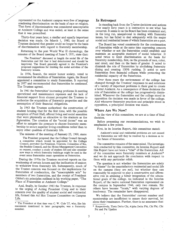represented on the Amherst campus were free of language condoning discrimination on the basis of race or religion. That form of discrimination was considered unacceptable at Amherst College and was ended, at least in the sense that it was proscribed.

Thirty-four years later, <sup>a</sup> similar and equally important decision was made. On March 1, 1980, the Board of Trustees declared that gender could no longer be the basis of discrimination with regard to fraternity membership.

Returning to the post World War II chronology, the minutes of the Board meeting of June 9, 1951, state that:

The President\* discussed at length the social life of the fraternities and felt that it had deteriorated and should be improved. The Board generally agreed to the President's proposed suggestions for limiting the social activities of the fraternity houses.

In 1956, Scarab, the senior honor society, voted to recommend the abolition of fraternities. Again, the Board appointed a committee to study fraternities. It reported in 1957 and recommended that fraternities be continued. The Trustees agreed.

In 1961 the fraternities' increasing problems in meeting operational and maintenance expenses and the lack of financial support from alumni prompted the Trustees to authorize the acquisition of fraternity properties and the assumption of their financial obligations.

In 1963 the Trustees authorized the construction of student housing that for the first time, with the possible exception of Pratt Hall, offered living and social amenities that were physically as attractive to the students as the fraternities. The creation of the "social dorms" was an effort to mitigate the pressure to choose fraternity membership to secure superior living conditions rather than to enjoy other qualities of fraternity life.

The minutes of the meeting of January 25, 1969, state:

The President proposed that the College Council through <sup>a</sup> committee which would be appointed by the College Council, provided the President, Trustees, Committee of Six, the Student Council, and the House Management Committee so request, conduct <sup>a</sup> study of student life and also consider new ways in which fraternity buildings might be used in the event some fraternities cease operations as fraternities.

During the 1970s the Trustees received reports on the weakening of certain houses and the inclination of seniors to withdraw from fraternity life. Subsequently, much of the Trustee concern was focused on the implications for fraternities of coeducation, the "unacceptable acts" by members of two fraternities, and the receipt of President Gibbs's six principles outlined in his working paper, "The Place of Fraternities at Amherst College."

And, finally, in October 1983 the Trustees, in response to the urging of Acting President Craig and to their concern over the quality of student social and residential life, formed this Ad Hoc Trustee Committee on Campus Life.

 The President at that time was C. W. Cole '27, who, like his successors mentioned in later paragraphs, was <sup>a</sup> fraternity member.

#### In Retrospect

In standing back from the Trustee decisions and actions over nearly forty years it is instructive to see what has occurred. It seems to us the Board has been consistent and, in the long run, unequivocal in dealing with fraternity issues, but has failed to deal adequately with the major social and residential issues of which fraternities are a part.

The Board has voted consistently for the continuation of fraternities while at the same time expressing concern over whether or not the fraternities could establish and maintain an acceptable standard of social behavior. It acted twice to limit discrimination as the basis for fraternity membership, first, on the grounds of race, color, and creed, and then on the basis of gender. It acted to diminish the role of fraternities by abolishing fraternity dining and creating 100% rushing. It acted to save fraternities from financial collapse while protecting the residential capacity of the fraternities.

Over these. years the environment of the college has changed through the Trustees' responses to and solutions of <sup>a</sup> variety of important problems in their goal to create <sup>a</sup> better Aniherst. As <sup>a</sup> consequence of these decisions the role of fraternities at the college has progressively dimin ished. Whenever the fraternities and the college stood in opposition the decision was made in favor of the college. And whenever fraternity practices and principle stood in opposition, <sup>a</sup> principled decision was made.

#### Where Are We Now?

In the view of this committee, we are at <sup>a</sup> time of final decision.

Before presenting our recommendations, we wish to emphasize <sup>a</sup> few points.

First, in its Interim Report, this committee stated:

Amherst's social and residential problems are not caused by fraternities nor will they be resolved by <sup>a</sup> decision as to the future of fraternities.

The committee remains of the same mind. The investigation conducted by this committee, its Interim Report and this Report have not been <sup>a</sup> "trial" of the fraternities. All of the committee were fraternity members at Amherst\* and we do not approach the conclusion with respect to them with any particular relish.

The question is not whether the fraternities are solely "to blame" for the unsatisfactory residential and social life on the campus (they are not), but whether they can reasonably be expected to play <sup>a</sup> constructive and affirm ative role in attaining a better integration of the educational goals of the college. As indicated in the Interim Report, of the twelve national fraternities represented on the campus in September 1946, only two remain. Six others have become "locals," with varying degrees of insolvency. The remainder have disappeared.

We believe that the fraternities' current number and membership are insufficient to assure their survival, let alone their renaissance. Further, there is no assurance that

<sup>\*</sup> Respectively, Theta Delta Chi, Alpha Delta Phi, Chi Phi, Chi Psi and Psi Upsilon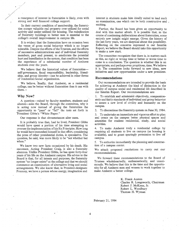<sup>a</sup> resurgence of interest in fraternities is likely, even with strong and well financed college support.

In their current condition of membership, the fraterni ties occupy valuable real property over-utilized for social activity and under-utilized for housing. The rededication of fraternity buildings to better uses is essential to the college's overall improvement in campus life.

It is evident that the fraternities have on occasion been the venue of gross social behavior which is no longer tolerable. Despite the efforts of the Trustees, and the efforts of successive administrations and of individual fraternity members, past and present, to ameliorate the potential hurt and humiliation in the system, that condition has been the experience of <sup>a</sup> substantial number of Amherst students over the years.

We believe that the historical values of fraternities self-governance, fiscal responsibility, leadership, friend ship, and group identity—can be achieved in other forms of residential/social organization.

We believe, finally, that Amherst, as a residential college, can be better without fraternities than it can with them.<sub>t</sub>

#### Why Now?

/

A question—raised by faculty members, students and alumni—asks the Board, through the committee, why it is acting now instead of giving the fraternities the opportunity to "pass" or "fail" the tests set forth in 'President Gibbs's "White Paper."

Our response is that circumstances alter cases.

It is probably true that, had he lived, President Gibbs would have spent <sup>a</sup> portion of his time attempting to oversee the implementation ofhis Six Principles. How long he would have enmeshed himself in that effort, considering the press of other presidential duties, is speculative. The question, he said, was more likeiy to be "not whether but when."

We know two new facts occasioned by his death. His successor, Acting President Craig, is also <sup>a</sup> fraternity alumnus. Unlike President Gibbs, he has spent forty-four years of his life on the Amherst campus. His advice to the Board is that, for all intents and purposes, the fraternity system "no longer exists" at the college and that we should commence an examination of alternative living and social arrangements. Wç also know that, in President-designate Pouncey, we have <sup>a</sup> person whose energy, imagination and

interest in students make him ideally suited to lead such an examination, one which can be both constructive and exciting.

Further, the Board has been given an opportunity to deal with this matter afresh. It is possible that, in the course of continuing deliberations about fraternities, some entirely new insight might emerge. Given the history of the last forty years, we are skeptical about this possibility. Reflecting on the concerns expressed in our Interim Report, we believe the Board should take this opportunity to make a new start.

The committee recognizes that there is, in matters such as this, no right or wrong time or better or worse time to come to <sup>a</sup> conclusion. The question is whether this is an appropriate, and perhaps even propitious, time. We believe it is. The committee looks forward to new ideas, new initiatives and new opportunities under <sup>a</sup> new president.

#### Recommendations

Our recommendations are intended to provide the basis for achieving at Amherst the kind of distinction in the quality of campus social and residential life described in our Interim Report. Our recommendations are:

1. To establish and administer objectively, compassionately and fairly standards of individual and group behavior to assure <sup>a</sup> new level of civility and humanity on the campus.

2. To discontinue the fraternity system on June 30, 1984.

3. To undertake an immediate and vigorous effort to plan and create on the campus better physical spaces and amenities for student residential, study, and social activities.

4. To make Amherst truly <sup>a</sup> residential college by requiring all students to live on campus (as housing is available), and to grant sparingly permission to live off campus.

5. To authorize immediately the planning and construction of <sup>a</sup> campus center.

We attach proposed resolutions to carry out our recommendations.

We forward these recommendations to the Board of Trustees wholeheartedly, enthusiastically, and unani mously. We believe that this is the time and the opportu nity for all Amherst men and women to work together to make Amherst <sup>a</sup> better college.

> K. Frank Austen Charles R. Longsworth, Chairman Robert J. McKean, Jr. Robert L. Woodbury Thomas H. Wyman

February 21, 1984

4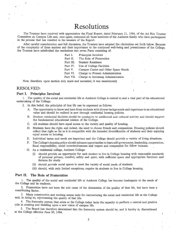# Resolutions

The Trustees have received with appreciation the Final Report, dated February 21, 1984, of the Ad Hoc Trustee Committee on Campus Life and, once again, commend all those members of the Amherst family who have participated in the process that has resulted in the issuance of the Report.

After careful consideration and full discussion, the Trustees have adopted the résolutions set forth below. Because of the complexity of these matters and their importance to the continued well-being and preeminence of the College, the Trustees have subdivided the resolutions into seven Parts consisting of:

- Part I. Principles Involved
- Part II. The Role of Fraternities

Part III. Student Residence

- Part IV. Use of College Facilities
- Part V. Campus Center and Other Space Needs
- Part VI. Charge to Present Administration
- Part VII. Charge to Incoming Administration

Now, therefore, upon motion duly made and seconded, it was unanimously

## RESOLVED:

#### Part I. Principles Involved

1. The quality of the social and residential life at Amherst College is central to, and <sup>a</sup> vital part of the educational undertaking of the College.

- 2. In this belief, the principles of that life can be expressed as follows:
	- A. The opportunity to know and learn from students with diverse backgrounds and experience is an educational value and should be realized in part through residential housing policies.
	- B. Student residential facilities should be conducive to intellectual and cultural activity and should support the fundamental educational mission of' the College.
	- C. All students should have equal access to the variety and quality of housing.
	- D. Students have the right, and indeed, the need to choose friends and companions. Housing policies should reflect that right so far as it is compatible with the intended diversification of students and their enjoying equal access to housing.
	- E. Individual tastes and needs are important and the College should provide <sup>a</sup> variety of living situations.
	- F. The College's housing policy should enhance opportunities to learn self-government, leadership, cooperation, fiscal responsibility, social conscientiousness and respect and compassion for fellow humans.
	- G. As <sup>a</sup> residential college, Amherst College:
		- (i) should provide an opportunity for each student to live in College housing with reasonable standards of personal privacy, comfort, safety and quiet, with sufficient space and appropriate furniture and fixtures for study.
		- (ii) should provide social spaces to meet the variety of social needs of students.
		- (iii) should, with only limited exceptions, require its students to live in College housing.

# Part II. The Role of Fraternities

1. The quality of the social and residential life at Amherst College has become inadequate to the needs of the College and its students.

2. Fraternities have not been the sole cause of the diminution of the quality of that life, but have been <sup>a</sup> contributing factor.

3. Many constructive and exciting means exist for restructuring the social and residential life at the CQllege and, in doing so, rejuvenating the quality of that life.

4. The fraternity system that exists at the College today lacks the capacity to perform <sup>a</sup> central and positive role in creating and building upon <sup>a</sup> new vision of campus life.

5. The Board has therefore determined that the fraternity system should be, and it hereby is, discontinued at the College effective June 30, 1984.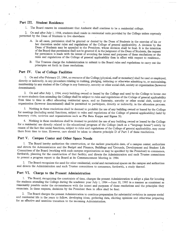## Part III. Student Residence

1. The Board renews its commitment that Amherst shall continue to be <sup>a</sup> residential college.

2. On and after July 1, 1984, students shall reside in residential units provided by the College unless expressly permitted by the Dean of Students to live elsewhere:

- A. In all cases, permission shall be granted or denied by the Dean of Students in the exercise of his or her discretion under rules and regulations of the College of general applicability.. A decision by the Dean of Students may be appealed to the President, whose decision shall be final. It is the intention of the Board that permission shall not be granted if, in the judgment of the Dean of Students, the request for permission is made with the intent of avoiding the intent and purposes of these resolutions or the rules and regulations of the College of general applicability then in effect with respect to residence.
- B. The Trustees charge the Administration to submit to the Board rules and regulations to carry out the principles set forth in these resolutions.

## Part IV. Use of College Facilities

1. On and after February 25, 1984, no resource of the College (physical, staff or monetary) shall be used or employed, directly or indirectly, in any procedure relating to rushing, pledging, initiating or otherwise admitting to, or maintaining, membership by any student of the College in any fraternity, sorority or other social club, society or organization (however denominated).

2. On and after July 1, 1984, every building owned or leased by the College and used by the College to house one or more students then attending the College shall be subject to rules and regulations of the College of general applicability from time to time in effect allocating residential space, and no fraternity, sorority or other social club, society or organization (however denominated) shall be permitted to participate, directly or indirectly, in the allocation process.

3. Nothing in these resolutions shall be deemed to prohibit the use of any building owned or leased by the College for meetings (including social functions, subject to rules and regulations of the College of general applicability) held by honorary clubs, societies and organizations such as Phi Beta Kappa and Sigma Xi.

4. Nothing in these resolutions shall be deemed to prohibit the use of any building owned or leased by the College for a residential use directly related to the educational program of the College (such as a "language house") solely by reason of the fact that social functions, subject to rules and regulations of the College of general applicability, may occur there from time to time. However, care should be taken to observe principle D of Part I of these resolutions.

# Part V. Campus Center and Other Space Needs

1. The Board hereby authorizes the construction, at the earliest practicable date, of <sup>a</sup> campus center; authorizes and directs the Administration and the Budget and Finance, Buildings and 'Grounds, Development and Student Life Committees of the Board (working with such campus organizations as may be specified by the President) to commence, forthwith, planning for the construction of that facility; and directs the Administration and such Trustee committees to present <sup>a</sup> progress report to the Board at its Commencement Meeting in 1984.

2. The Board recognizes the need for other residential, social and recreational spaces on the campus and authorizes and directs the Administration and such Trustee committees to commence, forthwith, <sup>a</sup> study thereof.

## Part VI. Charge to the Present Administration

1. The Board, recognizing the constraints of time, charges the present Administration to adopt a plan for housing the students attending the College during the academic year July 1, 1984 —June 30, 1985 in <sup>a</sup> manner as consistent as reasonably possible under the circumstances with the intent and purposes of these resolutions and the principles they enunciate. In these respects, decisions by the President then in office shall be final.

2. The Board charges the present Administration to continue preparation for substantial revisions in campus social and residential life in the years to follow, developing ideas, gathering data, eliciting opinions and otherwise preparing for an effective and seamless transition to the incoming Administration.